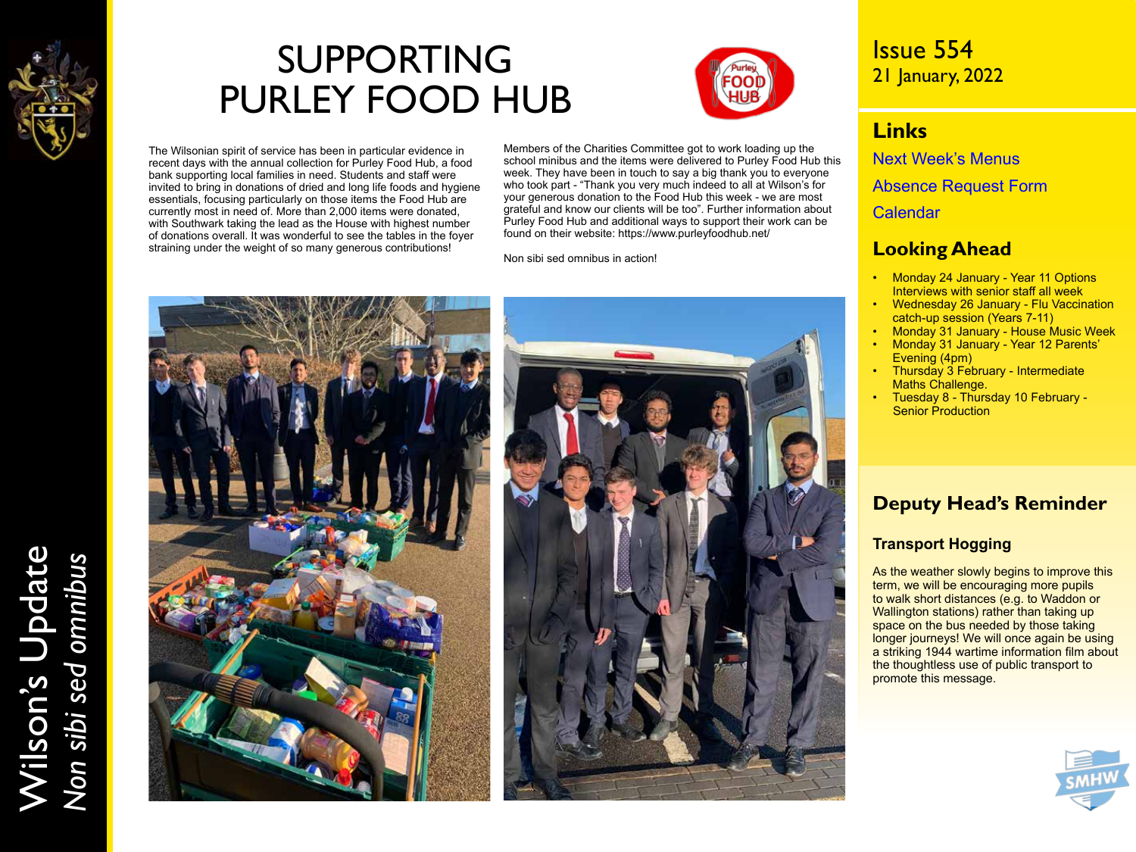

# SUPPORTING PURLEY FOOD HUB



The Wilsonian spirit of service has been in particular evidence in recent days with the annual collection for Purley Food Hub, a food bank supporting local families in need. Students and staff were invited to bring in donations of dried and long life foods and hygiene essentials, focusing particularly on those items the Food Hub are currently most in need of. More than 2,000 items were donated, with Southwark taking the lead as the House with highest number of donations overall. It was wonderful to see the tables in the foyer straining under the weight of so many generous contributions!

Members of the Charities Committee got to work loading up the school minibus and the items were delivered to Purley Food Hub this week. They have been in touch to say a big thank you to everyone who took part - "Thank you very much indeed to all at Wilson's for your generous donation to the Food Hub this week - we are most grateful and know our clients will be too". Further information about Purley Food Hub and additional ways to support their work can be found on their website: https://www.purleyfoodhub.net/

Non sibi sed omnibus in action!





Issue 554 21 January, 2022

### **Links**

[Next Week's Menus](https://www.wilsons.school/resources/Menus.pdf)

[Absence Request Form](http://www.wilsons.school/resources/Leave-of-Absence-Form.pdf)

[Calendar](https://www.wilsons.school/calendar/)

### **Looking Ahead**

- Monday 24 January Year 11 Options Interviews with senior staff all week
- Wednesday 26 January Flu Vaccination catch-up session (Years 7-11)
- Monday 31 January House Music Week • Monday 31 January - Year 12 Parents'
- Evening (4pm) • Thursday 3 February - Intermediate
- Maths Challenge.
- Tuesday 8 Thursday 10 February Senior Production

### **Deputy Head's Reminder**

### **Transport Hogging**

As the weather slowly begins to improve this term, we will be encouraging more pupils to walk short distances (e.g. to Waddon or Wallington stations) rather than taking up space on the bus needed by those taking longer journeys! We will once again be using a striking 1944 wartime information film about the thoughtless use of public transport to promote this message.



# Wilson's Update Wilson's Update<br>Non sibi sed omnibus *Non sibi sed omnibus*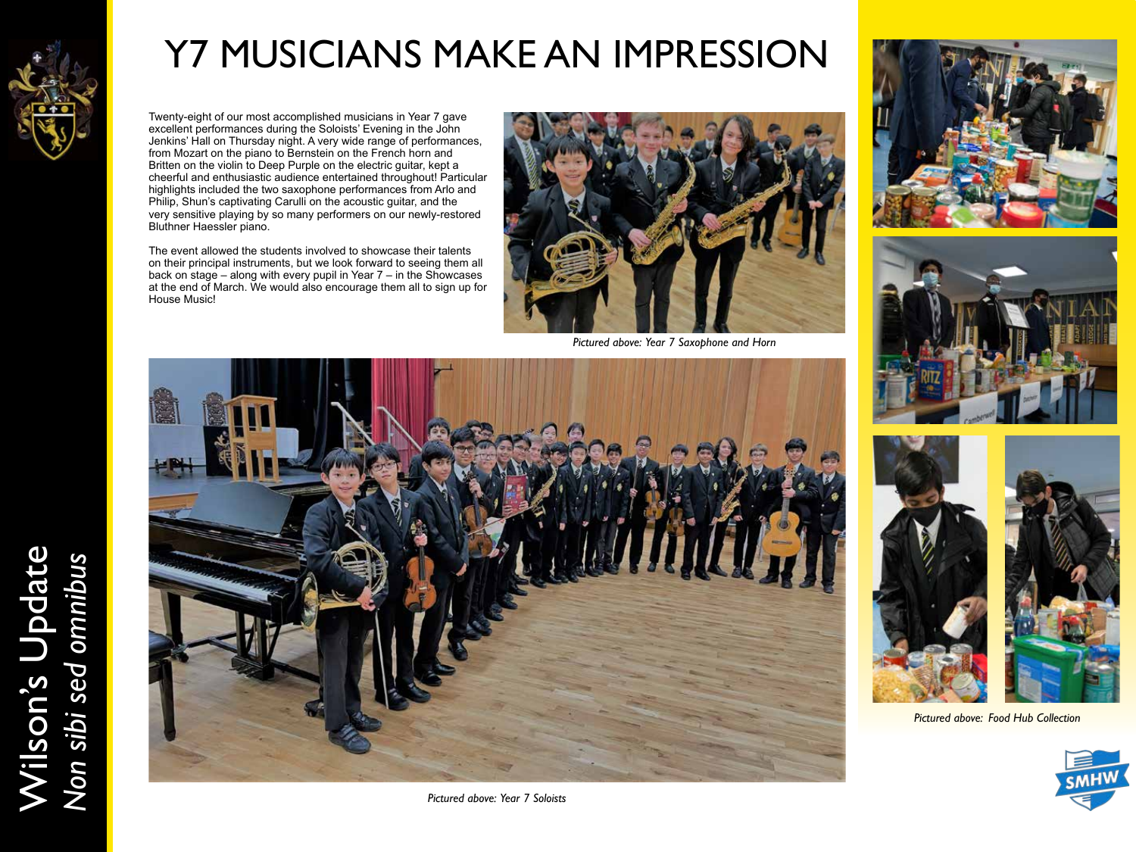

# Y7 MUSICIANS MAKE AN IMPRESSION

Twenty-eight of our most accomplished musicians in Year 7 gave excellent performances during the Soloists' Evening in the John Jenkins' Hall on Thursday night. A very wide range of performances, from Mozart on the piano to Bernstein on the French horn and Britten on the violin to Deep Purple on the electric guitar, kept a cheerful and enthusiastic audience entertained throughout! Particular highlights included the two saxophone performances from Arlo and Philip, Shun's captivating Carulli on the acoustic guitar, and the very sensitive playing by so many performers on our newly-restored Bluthner Haessler piano.

The event allowed the students involved to showcase their talents on their principal instruments, but we look forward to seeing them all back on stage – along with every pupil in Year 7 – in the Showcases at the end of March. We would also encourage them all to sign up for House Music!



*Pictured above: Year 7 Saxophone and Horn*







*Pictured above: Food Hub Collection*





*Pictured above: Year 7 Soloists*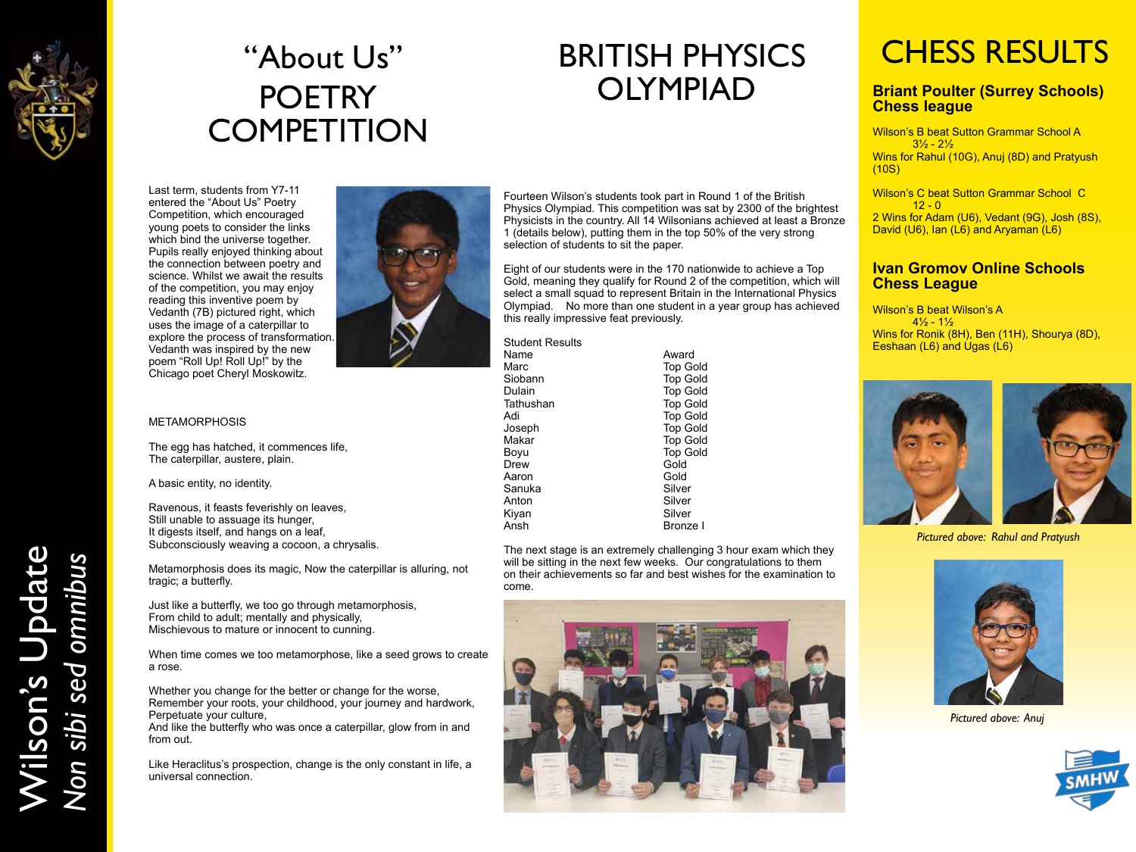

# "About Us" **POETRY COMPETITION**

# BRITISH PHYSICS OLYMPIAD

Last term, students from Y7-11 entered the "About Us" Poetry Competition, which encouraged young poets to consider the links which bind the universe together. Pupils really enjoyed thinking about the connection between poetry and science. Whilst we await the results of the competition, you may enjoy reading this inventive poem by Vedanth (7B) pictured right, which uses the image of a caterpillar to explore the process of transformation. Vedanth was inspired by the new poem "Roll Up! Roll Up!" by the Chicago poet Cheryl Moskowitz.



#### METAMORPHOSIS

The egg has hatched, it commences life, The caterpillar, austere, plain.

A basic entity, no identity.

Ravenous, it feasts feverishly on leaves, Still unable to assuage its hunger, It digests itself, and hangs on a leaf, Subconsciously weaving a cocoon, a chrysalis.

Metamorphosis does its magic, Now the caterpillar is alluring, not tragic; a butterfly.

Just like a butterfly, we too go through metamorphosis, From child to adult; mentally and physically, Mischievous to mature or innocent to cunning.

When time comes we too metamorphose, like a seed grows to create a rose.

Whether you change for the better or change for the worse, Remember your roots, your childhood, your journey and hardwork, Perpetuate your culture,

And like the butterfly who was once a caterpillar, glow from in and from out.

Like Heraclitus's prospection, change is the only constant in life, a universal connection.

Fourteen Wilson's students took part in Round 1 of the British Physics Olympiad. This competition was sat by 2300 of the brightest Physicists in the country. All 14 Wilsonians achieved at least a Bronze 1 (details below), putting them in the top 50% of the very strong selection of students to sit the paper.

Eight of our students were in the 170 nationwide to achieve a Top Gold, meaning they qualify for Round 2 of the competition, which will select a small squad to represent Britain in the International Physics Olympiad. No more than one student in a year group has achieved this really impressive feat previously.

Student Results

| Name      | Award           |
|-----------|-----------------|
| Marc      | <b>Top Gold</b> |
| Siobann   | <b>Top Gold</b> |
| Dulain    | <b>Top Gold</b> |
| Tathushan | <b>Top Gold</b> |
| Adi       | <b>Top Gold</b> |
| Joseph    | <b>Top Gold</b> |
| Makar     | <b>Top Gold</b> |
| Boyu      | <b>Top Gold</b> |
| Drew      | Gold            |
| Aaron     | Gold            |
| Sanuka    | Silver          |
| Anton     | Silver          |
| Kiyan     | Silver          |
| Ansh      | Bronze I        |
|           |                 |

The next stage is an extremely challenging 3 hour exam which they will be sitting in the next few weeks. Our congratulations to them on their achievements so far and best wishes for the examination to come.



# CHESS RESULTS

#### **Briant Poulter (Surrey Schools) Chess league**

Wilson's B beat Sutton Grammar School A  $3\frac{1}{2}$  -  $2\frac{1}{2}$ Wins for Rahul (10G), Anuj (8D) and Pratyush (10S)

Wilson's C beat Sutton Grammar School C  $12 - 0$ 2 Wins for Adam (U6), Vedant (9G), Josh (8S), David (U6), Ian  $(L6)$  and Aryaman  $(L6)$ 

#### **Ivan Gromov Online Schools Chess League**

Wilson's B beat Wilson's A  $4\frac{1}{2}$  -  $1\frac{1}{2}$ Wins for Ronik (8H), Ben (11H), Shourya (8D), Eeshaan (L6) and Ugas (L6)



*Pictured above: Rahul and Pratyush* 



*Pictured above: Anuj*



Wilson's Update Wilson's Update<br>Non sibi sed omnibus *Non sibi sed omnibus*